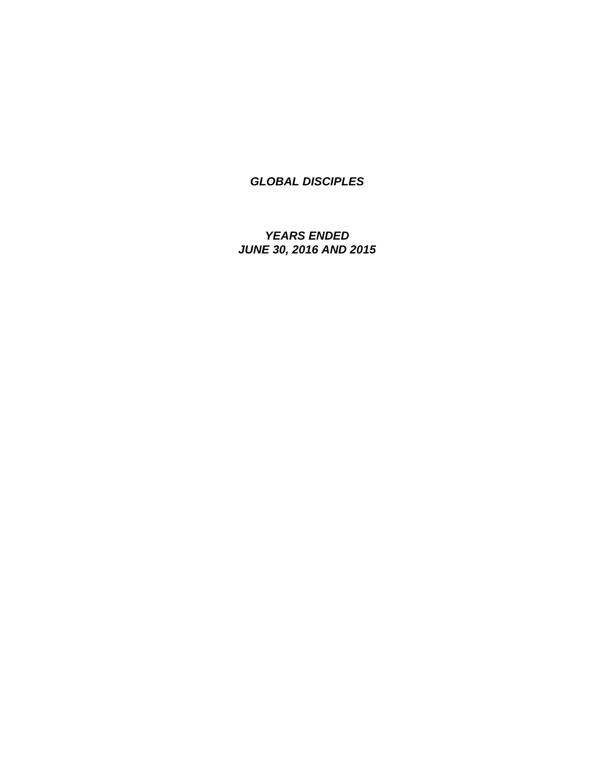*YEARS ENDED JUNE 30, 2016 AND 2015*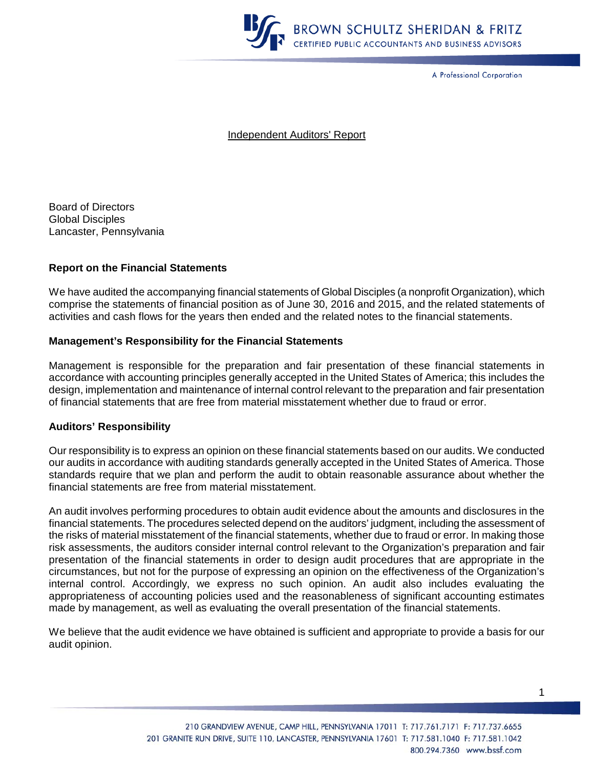

A Professional Corporation

Independent Auditors' Report

Board of Directors Global Disciples Lancaster, Pennsylvania

### **Report on the Financial Statements**

We have audited the accompanying financial statements of Global Disciples (a nonprofit Organization), which comprise the statements of financial position as of June 30, 2016 and 2015, and the related statements of activities and cash flows for the years then ended and the related notes to the financial statements.

#### **Management's Responsibility for the Financial Statements**

Management is responsible for the preparation and fair presentation of these financial statements in accordance with accounting principles generally accepted in the United States of America; this includes the design, implementation and maintenance of internal control relevant to the preparation and fair presentation of financial statements that are free from material misstatement whether due to fraud or error.

#### **Auditors' Responsibility**

Our responsibility is to express an opinion on these financial statements based on our audits. We conducted our audits in accordance with auditing standards generally accepted in the United States of America. Those standards require that we plan and perform the audit to obtain reasonable assurance about whether the financial statements are free from material misstatement.

An audit involves performing procedures to obtain audit evidence about the amounts and disclosures in the financial statements. The procedures selected depend on the auditors' judgment, including the assessment of the risks of material misstatement of the financial statements, whether due to fraud or error. In making those risk assessments, the auditors consider internal control relevant to the Organization's preparation and fair presentation of the financial statements in order to design audit procedures that are appropriate in the circumstances, but not for the purpose of expressing an opinion on the effectiveness of the Organization's internal control. Accordingly, we express no such opinion. An audit also includes evaluating the appropriateness of accounting policies used and the reasonableness of significant accounting estimates made by management, as well as evaluating the overall presentation of the financial statements.

We believe that the audit evidence we have obtained is sufficient and appropriate to provide a basis for our audit opinion.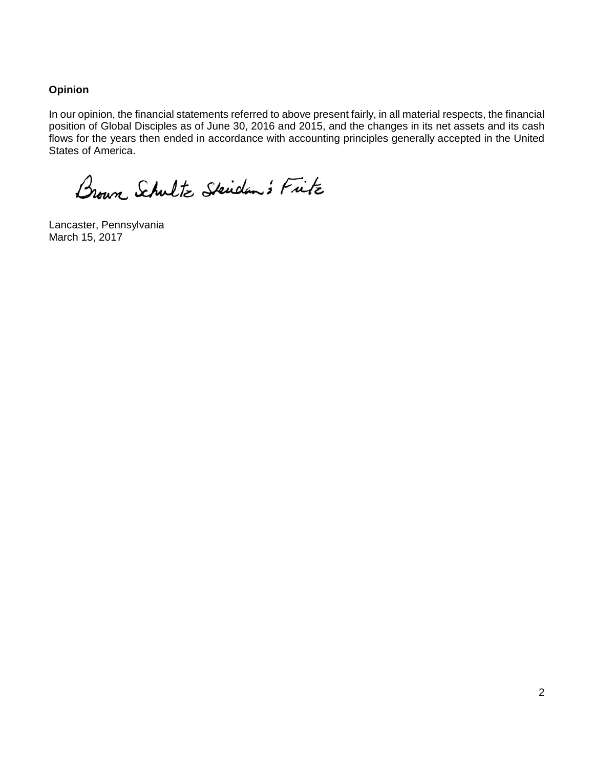## **Opinion**

In our opinion, the financial statements referred to above present fairly, in all material respects, the financial position of Global Disciples as of June 30, 2016 and 2015, and the changes in its net assets and its cash flows for the years then ended in accordance with accounting principles generally accepted in the United States of America.

Brown Schultz Skiden's Fitz

Lancaster, Pennsylvania March 15, 2017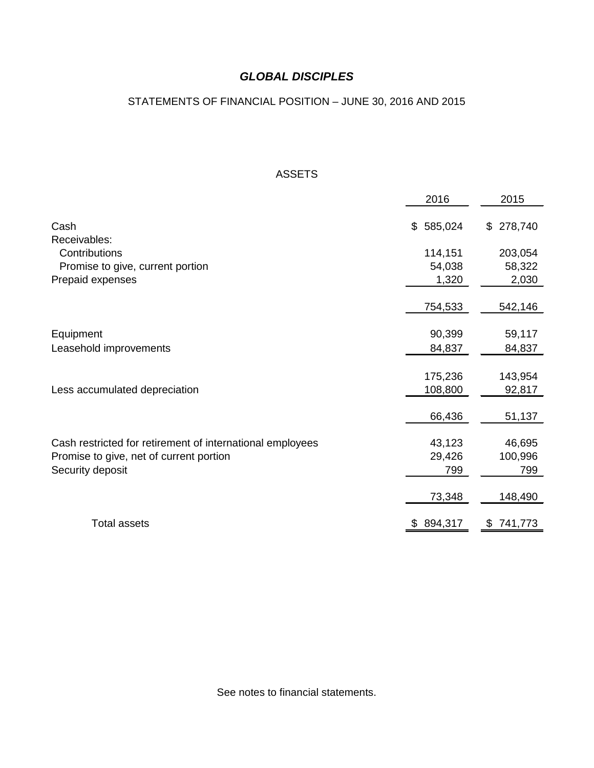## STATEMENTS OF FINANCIAL POSITION – JUNE 30, 2016 AND 2015

### ASSETS

|                                                           | 2016          | 2015          |
|-----------------------------------------------------------|---------------|---------------|
| Cash                                                      | 585,024<br>\$ | 278,740<br>\$ |
| Receivables:                                              |               |               |
| Contributions                                             | 114,151       | 203,054       |
| Promise to give, current portion                          | 54,038        | 58,322        |
| Prepaid expenses                                          | 1,320         | 2,030         |
|                                                           | 754,533       | 542,146       |
|                                                           |               |               |
| Equipment                                                 | 90,399        | 59,117        |
| Leasehold improvements                                    | 84,837        | 84,837        |
|                                                           |               |               |
|                                                           | 175,236       | 143,954       |
| Less accumulated depreciation                             | 108,800       | 92,817        |
|                                                           | 66,436        | 51,137        |
|                                                           | 43,123        | 46,695        |
| Cash restricted for retirement of international employees |               |               |
| Promise to give, net of current portion                   | 29,426        | 100,996       |
| Security deposit                                          | 799           | 799           |
|                                                           | 73,348        | 148,490       |
| <b>Total assets</b>                                       | \$894,317     | 741,773<br>\$ |

See notes to financial statements.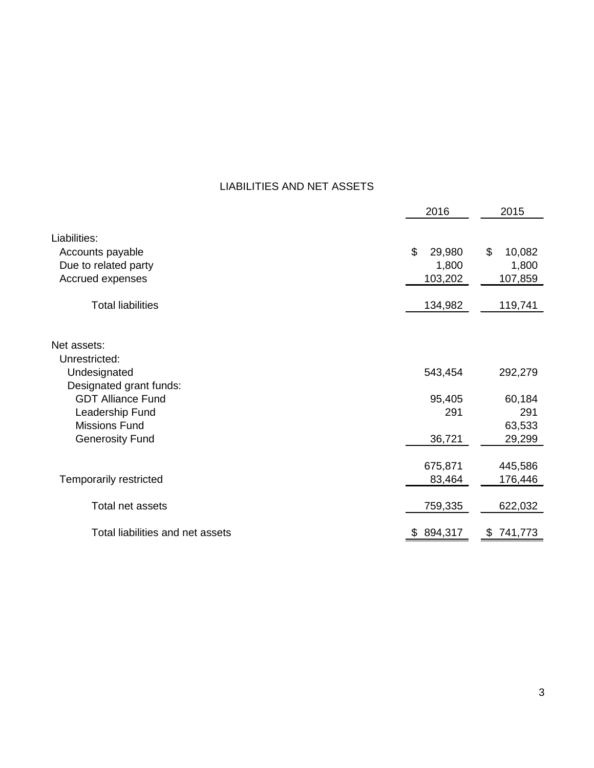## LIABILITIES AND NET ASSETS

|                                                          | 2016                  | 2015                  |
|----------------------------------------------------------|-----------------------|-----------------------|
| Liabilities:<br>Accounts payable<br>Due to related party | \$<br>29,980<br>1,800 | \$<br>10,082<br>1,800 |
| Accrued expenses                                         | 103,202               | 107,859               |
| <b>Total liabilities</b>                                 | 134,982               | 119,741               |
| Net assets:<br>Unrestricted:                             |                       |                       |
| Undesignated<br>Designated grant funds:                  | 543,454               | 292,279               |
| <b>GDT Alliance Fund</b>                                 | 95,405                | 60,184                |
| Leadership Fund                                          | 291                   | 291                   |
| Missions Fund                                            |                       | 63,533                |
| <b>Generosity Fund</b>                                   | 36,721                | 29,299                |
|                                                          | 675,871               | 445,586               |
| <b>Temporarily restricted</b>                            | 83,464                | 176,446               |
| Total net assets                                         | 759,335               | 622,032               |
| Total liabilities and net assets                         | 894,317<br>\$         | 741,773<br>\$         |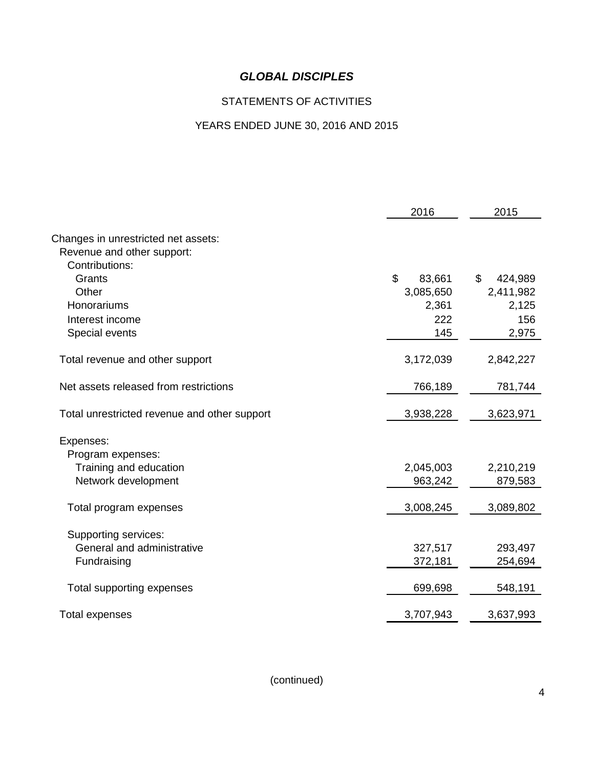# STATEMENTS OF ACTIVITIES

# YEARS ENDED JUNE 30, 2016 AND 2015

|                                              | 2016         | 2015          |
|----------------------------------------------|--------------|---------------|
|                                              |              |               |
| Changes in unrestricted net assets:          |              |               |
| Revenue and other support:                   |              |               |
| Contributions:                               |              |               |
| Grants                                       | \$<br>83,661 | \$<br>424,989 |
| Other                                        | 3,085,650    | 2,411,982     |
| Honorariums                                  | 2,361        | 2,125         |
| Interest income                              | 222          | 156           |
| Special events                               | 145          | 2,975         |
| Total revenue and other support              | 3,172,039    | 2,842,227     |
| Net assets released from restrictions        | 766,189      | 781,744       |
| Total unrestricted revenue and other support | 3,938,228    | 3,623,971     |
| Expenses:                                    |              |               |
| Program expenses:                            |              |               |
| Training and education                       | 2,045,003    | 2,210,219     |
| Network development                          | 963,242      | 879,583       |
| Total program expenses                       | 3,008,245    | 3,089,802     |
|                                              |              |               |
| Supporting services:                         |              |               |
| General and administrative                   | 327,517      | 293,497       |
| Fundraising                                  | 372,181      | 254,694       |
| Total supporting expenses                    | 699,698      | 548,191       |
| <b>Total expenses</b>                        | 3,707,943    | 3,637,993     |

(continued)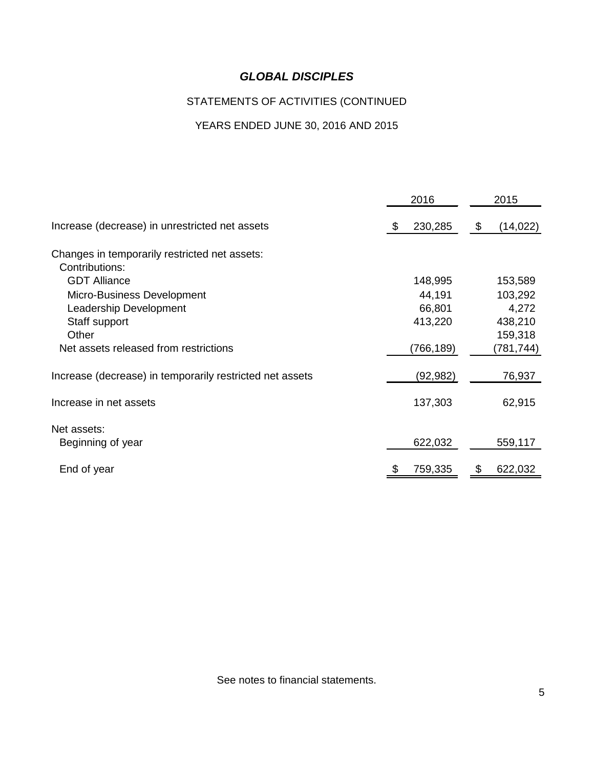# STATEMENTS OF ACTIVITIES (CONTINUED

# YEARS ENDED JUNE 30, 2016 AND 2015

|                                                          | 2016          | 2015            |
|----------------------------------------------------------|---------------|-----------------|
| Increase (decrease) in unrestricted net assets           | \$<br>230,285 | \$<br>(14, 022) |
| Changes in temporarily restricted net assets:            |               |                 |
| Contributions:                                           |               |                 |
| <b>GDT Alliance</b>                                      | 148,995       | 153,589         |
| Micro-Business Development                               | 44,191        | 103,292         |
| Leadership Development                                   | 66,801        | 4,272           |
| Staff support                                            | 413,220       | 438,210         |
| Other                                                    |               | 159,318         |
| Net assets released from restrictions                    | (766, 189)    | (781,744)       |
| Increase (decrease) in temporarily restricted net assets | (92, 982)     | 76,937          |
| Increase in net assets                                   | 137,303       | 62,915          |
| Net assets:                                              |               |                 |
| Beginning of year                                        | 622,032       | 559,117         |
| End of year                                              | 759,335       | 622,032         |

See notes to financial statements.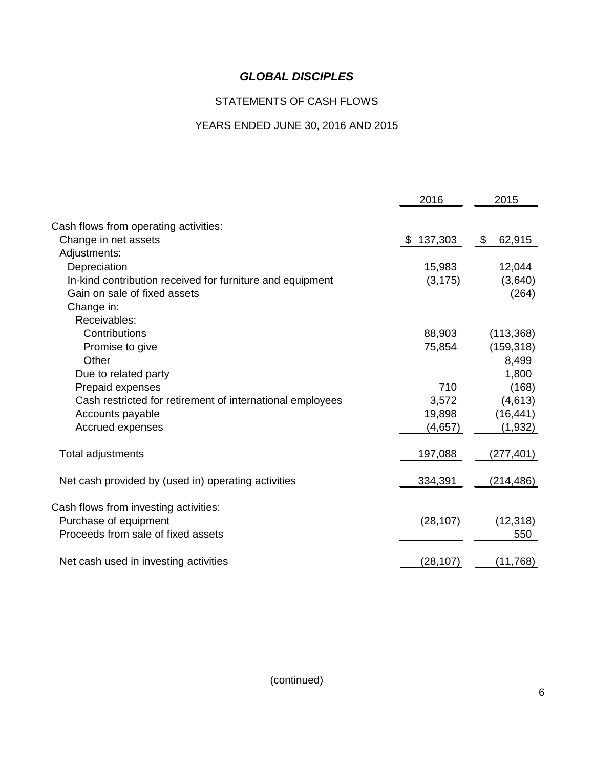# STATEMENTS OF CASH FLOWS

# YEARS ENDED JUNE 30, 2016 AND 2015

|                                                           | 2016          | 2015         |
|-----------------------------------------------------------|---------------|--------------|
|                                                           |               |              |
| Cash flows from operating activities:                     |               |              |
| Change in net assets                                      | 137,303<br>\$ | \$<br>62,915 |
| Adjustments:                                              |               |              |
| Depreciation                                              | 15,983        | 12,044       |
| In-kind contribution received for furniture and equipment | (3, 175)      | (3,640)      |
| Gain on sale of fixed assets                              |               | (264)        |
| Change in:                                                |               |              |
| Receivables:                                              |               |              |
| Contributions                                             | 88,903        | (113, 368)   |
| Promise to give                                           | 75,854        | (159, 318)   |
| Other                                                     |               | 8,499        |
| Due to related party                                      |               | 1,800        |
| Prepaid expenses                                          | 710           | (168)        |
| Cash restricted for retirement of international employees | 3,572         | (4,613)      |
| Accounts payable                                          | 19,898        | (16, 441)    |
| Accrued expenses                                          | (4,657)       | (1,932)      |
| Total adjustments                                         | 197,088       | (277,401)    |
| Net cash provided by (used in) operating activities       | 334,391       | (214,486)    |
| Cash flows from investing activities:                     |               |              |
| Purchase of equipment                                     | (28, 107)     | (12, 318)    |
| Proceeds from sale of fixed assets                        |               | 550          |
|                                                           |               |              |
| Net cash used in investing activities                     | (28, 107)     | (11,768)     |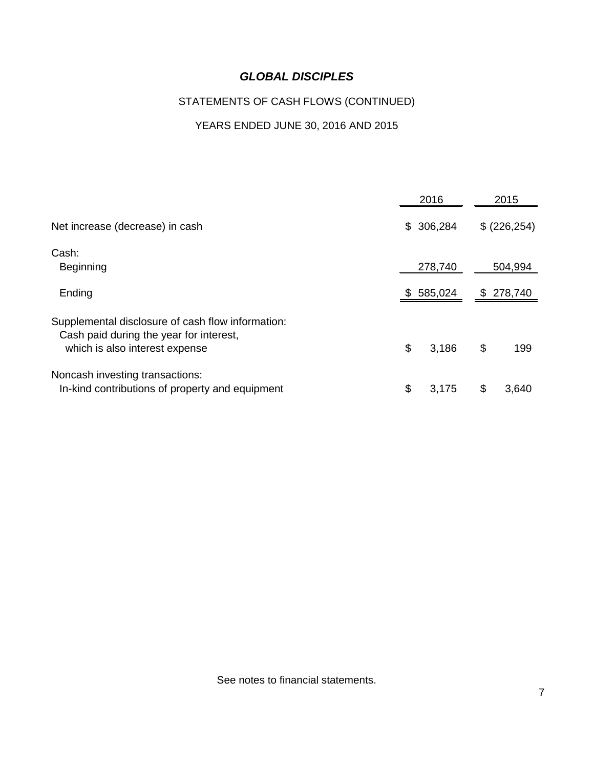## STATEMENTS OF CASH FLOWS (CONTINUED)

# YEARS ENDED JUNE 30, 2016 AND 2015

|                                                                                                                                |    | 2016       |     | 2015          |
|--------------------------------------------------------------------------------------------------------------------------------|----|------------|-----|---------------|
| Net increase (decrease) in cash                                                                                                |    | \$ 306,284 |     | \$ (226, 254) |
| Cash:<br>Beginning                                                                                                             |    | 278,740    |     | 504,994       |
| Ending                                                                                                                         | S. | 585,024    | \$. | 278,740       |
| Supplemental disclosure of cash flow information:<br>Cash paid during the year for interest,<br>which is also interest expense | \$ | 3,186      | \$  | 199           |
| Noncash investing transactions:<br>In-kind contributions of property and equipment                                             | \$ | 3.175      | \$  | 3,640         |

See notes to financial statements.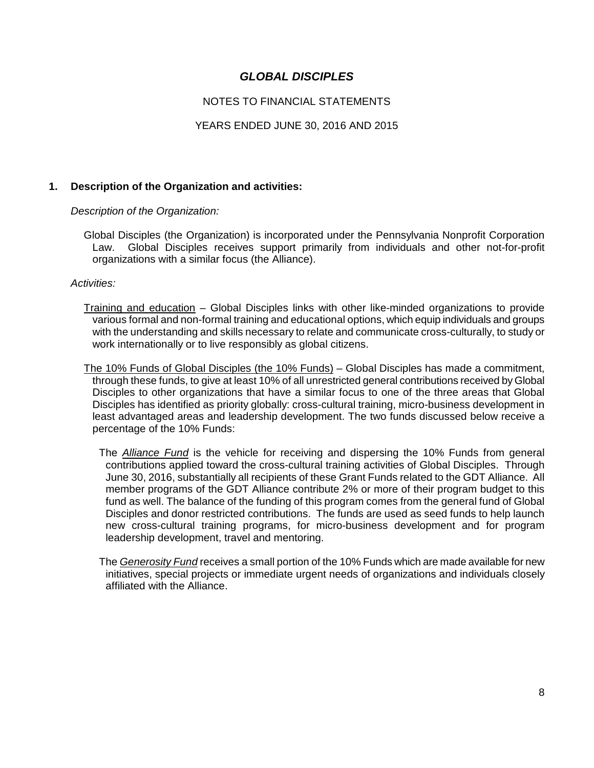## NOTES TO FINANCIAL STATEMENTS

### YEARS ENDED JUNE 30, 2016 AND 2015

### **1. Description of the Organization and activities:**

*Description of the Organization:*

Global Disciples (the Organization) is incorporated under the Pennsylvania Nonprofit Corporation Law. Global Disciples receives support primarily from individuals and other not-for-profit organizations with a similar focus (the Alliance).

#### *Activities:*

- Training and education Global Disciples links with other like-minded organizations to provide various formal and non-formal training and educational options, which equip individuals and groups with the understanding and skills necessary to relate and communicate cross-culturally, to study or work internationally or to live responsibly as global citizens.
- The 10% Funds of Global Disciples (the 10% Funds) Global Disciples has made a commitment, through these funds, to give at least 10% of all unrestricted general contributions received by Global Disciples to other organizations that have a similar focus to one of the three areas that Global Disciples has identified as priority globally: cross-cultural training, micro-business development in least advantaged areas and leadership development. The two funds discussed below receive a percentage of the 10% Funds:
	- The *Alliance Fund* is the vehicle for receiving and dispersing the 10% Funds from general contributions applied toward the cross-cultural training activities of Global Disciples. Through June 30, 2016, substantially all recipients of these Grant Funds related to the GDT Alliance. All member programs of the GDT Alliance contribute 2% or more of their program budget to this fund as well. The balance of the funding of this program comes from the general fund of Global Disciples and donor restricted contributions. The funds are used as seed funds to help launch new cross-cultural training programs, for micro-business development and for program leadership development, travel and mentoring.
	- The *Generosity Fund* receives a small portion of the 10% Funds which are made available for new initiatives, special projects or immediate urgent needs of organizations and individuals closely affiliated with the Alliance.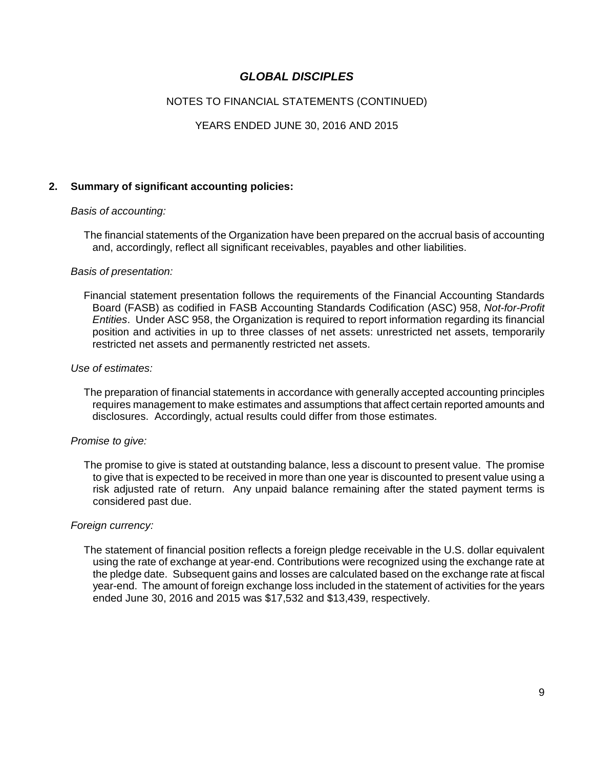## NOTES TO FINANCIAL STATEMENTS (CONTINUED)

## YEARS ENDED JUNE 30, 2016 AND 2015

### **2. Summary of significant accounting policies:**

#### *Basis of accounting:*

The financial statements of the Organization have been prepared on the accrual basis of accounting and, accordingly, reflect all significant receivables, payables and other liabilities.

#### *Basis of presentation:*

Financial statement presentation follows the requirements of the Financial Accounting Standards Board (FASB) as codified in FASB Accounting Standards Codification (ASC) 958, *Not-for-Profit Entities*. Under ASC 958, the Organization is required to report information regarding its financial position and activities in up to three classes of net assets: unrestricted net assets, temporarily restricted net assets and permanently restricted net assets.

#### *Use of estimates:*

The preparation of financial statements in accordance with generally accepted accounting principles requires management to make estimates and assumptions that affect certain reported amounts and disclosures. Accordingly, actual results could differ from those estimates.

#### *Promise to give:*

The promise to give is stated at outstanding balance, less a discount to present value. The promise to give that is expected to be received in more than one year is discounted to present value using a risk adjusted rate of return. Any unpaid balance remaining after the stated payment terms is considered past due.

#### *Foreign currency:*

The statement of financial position reflects a foreign pledge receivable in the U.S. dollar equivalent using the rate of exchange at year-end. Contributions were recognized using the exchange rate at the pledge date. Subsequent gains and losses are calculated based on the exchange rate at fiscal year-end. The amount of foreign exchange loss included in the statement of activities for the years ended June 30, 2016 and 2015 was \$17,532 and \$13,439, respectively.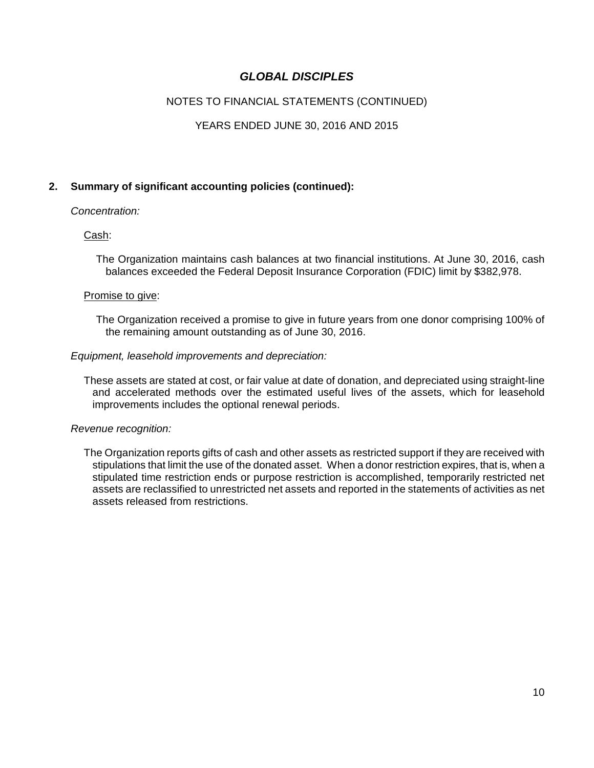### NOTES TO FINANCIAL STATEMENTS (CONTINUED)

## YEARS ENDED JUNE 30, 2016 AND 2015

## **2. Summary of significant accounting policies (continued):**

#### *Concentration:*

#### Cash:

The Organization maintains cash balances at two financial institutions. At June 30, 2016, cash balances exceeded the Federal Deposit Insurance Corporation (FDIC) limit by \$382,978.

#### Promise to give:

The Organization received a promise to give in future years from one donor comprising 100% of the remaining amount outstanding as of June 30, 2016.

#### *Equipment, leasehold improvements and depreciation:*

These assets are stated at cost, or fair value at date of donation, and depreciated using straight-line and accelerated methods over the estimated useful lives of the assets, which for leasehold improvements includes the optional renewal periods.

#### *Revenue recognition:*

The Organization reports gifts of cash and other assets as restricted support if they are received with stipulations that limit the use of the donated asset. When a donor restriction expires, that is, when a stipulated time restriction ends or purpose restriction is accomplished, temporarily restricted net assets are reclassified to unrestricted net assets and reported in the statements of activities as net assets released from restrictions.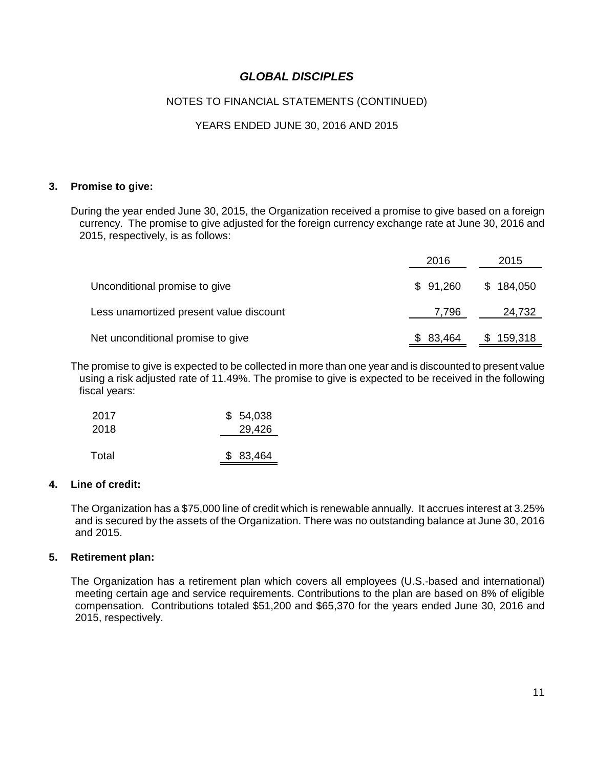## NOTES TO FINANCIAL STATEMENTS (CONTINUED)

## YEARS ENDED JUNE 30, 2016 AND 2015

#### **3. Promise to give:**

During the year ended June 30, 2015, the Organization received a promise to give based on a foreign currency. The promise to give adjusted for the foreign currency exchange rate at June 30, 2016 and 2015, respectively, is as follows:

|                                         | 2016     | 2015          |
|-----------------------------------------|----------|---------------|
| Unconditional promise to give           | \$91,260 | \$184,050     |
| Less unamortized present value discount | 7,796    | 24,732        |
| Net unconditional promise to give       | \$83,464 | 159,318<br>\$ |

The promise to give is expected to be collected in more than one year and is discounted to present value using a risk adjusted rate of 11.49%. The promise to give is expected to be received in the following fiscal years:

| 2017<br>2018 | \$54,038<br>29,426 |
|--------------|--------------------|
| Total        | \$83,464           |

#### **4. Line of credit:**

The Organization has a \$75,000 line of credit which is renewable annually. It accrues interest at 3.25% and is secured by the assets of the Organization. There was no outstanding balance at June 30, 2016 and 2015.

#### **5. Retirement plan:**

The Organization has a retirement plan which covers all employees (U.S.-based and international) meeting certain age and service requirements. Contributions to the plan are based on 8% of eligible compensation. Contributions totaled \$51,200 and \$65,370 for the years ended June 30, 2016 and 2015, respectively.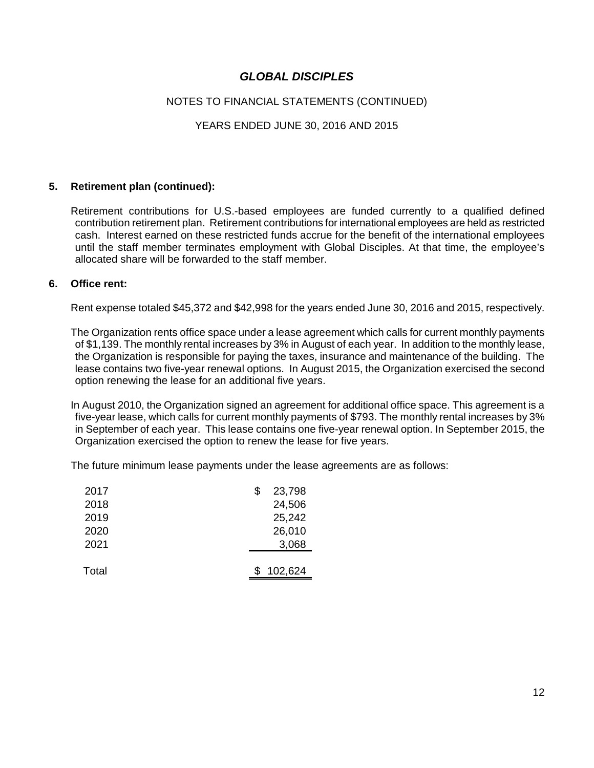## NOTES TO FINANCIAL STATEMENTS (CONTINUED)

## YEARS ENDED JUNE 30, 2016 AND 2015

### **5. Retirement plan (continued):**

Retirement contributions for U.S.-based employees are funded currently to a qualified defined contribution retirement plan. Retirement contributions for international employees are held as restricted cash. Interest earned on these restricted funds accrue for the benefit of the international employees until the staff member terminates employment with Global Disciples. At that time, the employee's allocated share will be forwarded to the staff member.

## **6. Office rent:**

Rent expense totaled \$45,372 and \$42,998 for the years ended June 30, 2016 and 2015, respectively.

The Organization rents office space under a lease agreement which calls for current monthly payments of \$1,139. The monthly rental increases by 3% in August of each year. In addition to the monthly lease, the Organization is responsible for paying the taxes, insurance and maintenance of the building. The lease contains two five-year renewal options. In August 2015, the Organization exercised the second option renewing the lease for an additional five years.

In August 2010, the Organization signed an agreement for additional office space. This agreement is a five-year lease, which calls for current monthly payments of \$793. The monthly rental increases by 3% in September of each year. This lease contains one five-year renewal option. In September 2015, the Organization exercised the option to renew the lease for five years.

The future minimum lease payments under the lease agreements are as follows:

| 2017  | 23,798  |
|-------|---------|
| 2018  | 24,506  |
| 2019  | 25,242  |
| 2020  | 26,010  |
| 2021  | 3,068   |
|       |         |
| Total | 102,624 |
|       |         |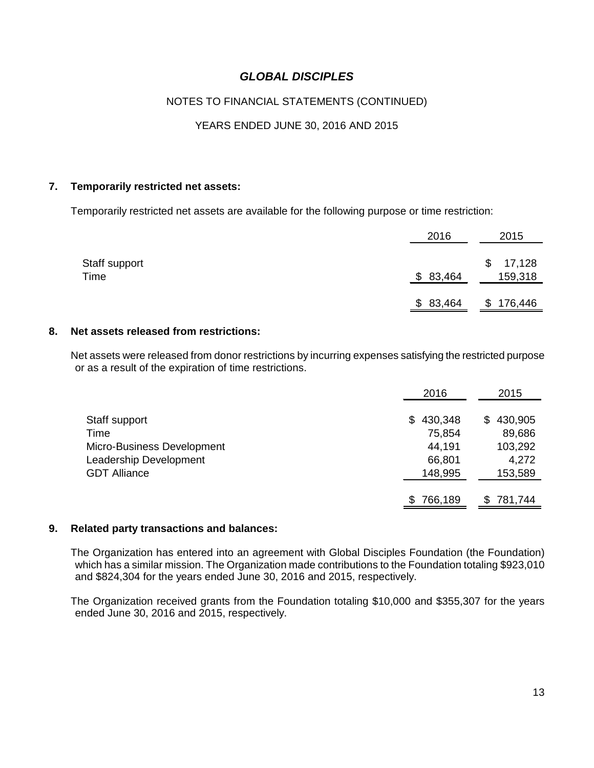## NOTES TO FINANCIAL STATEMENTS (CONTINUED)

## YEARS ENDED JUNE 30, 2016 AND 2015

#### **7. Temporarily restricted net assets:**

Temporarily restricted net assets are available for the following purpose or time restriction:

|                       | 2016     | 2015                    |
|-----------------------|----------|-------------------------|
| Staff support<br>Time | \$83,464 | 17,128<br>\$<br>159,318 |
|                       | \$83,464 | \$176,446               |

### **8. Net assets released from restrictions:**

Net assets were released from donor restrictions by incurring expenses satisfying the restricted purpose or as a result of the expiration of time restrictions.

|                            | 2016          | 2015          |
|----------------------------|---------------|---------------|
| Staff support              | 430,348<br>S. | 430,905<br>\$ |
| Time                       | 75,854        | 89,686        |
| Micro-Business Development | 44,191        | 103,292       |
| Leadership Development     | 66,801        | 4,272         |
| <b>GDT Alliance</b>        | 148,995       | 153,589       |
|                            |               |               |
|                            | 766,189<br>æ. | \$781,744     |

#### **9. Related party transactions and balances:**

The Organization has entered into an agreement with Global Disciples Foundation (the Foundation) which has a similar mission. The Organization made contributions to the Foundation totaling \$923,010 and \$824,304 for the years ended June 30, 2016 and 2015, respectively.

The Organization received grants from the Foundation totaling \$10,000 and \$355,307 for the years ended June 30, 2016 and 2015, respectively.